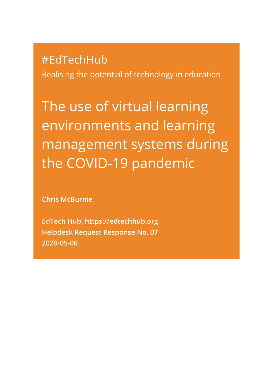# #EdTechHub

Realising the potential of technology in education

The use of virtual learning environments and learning management systems during the COVID-19 pandemic

**Chris McBurnie**

**EdTech Hub, [https://edtechhub.org](https://edtechhub.org/) Helpdesk Request Response No. 07 2020-05-06**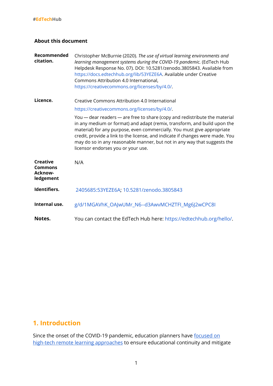#### **About this document**

| Recommended<br>citation.                                         | Christopher McBurnie (2020). The use of virtual learning environments and<br>learning management systems during the COVID-19 pandemic. (EdTech Hub<br>Helpdesk Response No. 07). DOI: 10.5281/zenodo.3805843. Available from<br>https://docs.edtechhub.org/lib/53YEZE6A. Available under Creative<br>Commons Attribution 4.0 International,<br>https://creativecommons.org/licenses/by/4.0/.                                         |
|------------------------------------------------------------------|--------------------------------------------------------------------------------------------------------------------------------------------------------------------------------------------------------------------------------------------------------------------------------------------------------------------------------------------------------------------------------------------------------------------------------------|
| Licence.                                                         | Creative Commons Attribution 4.0 International                                                                                                                                                                                                                                                                                                                                                                                       |
|                                                                  | https://creativecommons.org/licenses/by/4.0/.                                                                                                                                                                                                                                                                                                                                                                                        |
|                                                                  | You - dear readers - are free to share (copy and redistribute the material<br>in any medium or format) and adapt (remix, transform, and build upon the<br>material) for any purpose, even commercially. You must give appropriate<br>credit, provide a link to the license, and indicate if changes were made. You<br>may do so in any reasonable manner, but not in any way that suggests the<br>licensor endorses you or your use. |
| <b>Creative</b><br><b>Commons</b><br><b>Acknow-</b><br>ledgement | N/A                                                                                                                                                                                                                                                                                                                                                                                                                                  |
| Identifiers.                                                     | 2405685:53YEZE6A; 10.5281/zenodo.3805843                                                                                                                                                                                                                                                                                                                                                                                             |
| Internal use.                                                    | g/d/1MGAVhK_OAJwUMr_N6--d3AwvMCHZTFI_Mg6J2wCPC8I                                                                                                                                                                                                                                                                                                                                                                                     |
| Notes.                                                           | You can contact the EdTech Hub here: https://edtechhub.org/hello/.                                                                                                                                                                                                                                                                                                                                                                   |

## **1. Introduction**

Since the onset of the COVID-19 pandemic, education planners have [focused](https://docs.edtechhub.org/lib/?all=overview&page=1&page-len=1&sort=score) on high-tech remote learning [approaches](https://docs.edtechhub.org/lib/?all=overview&page=1&page-len=1&sort=score) to ensure educational continuity and mitigate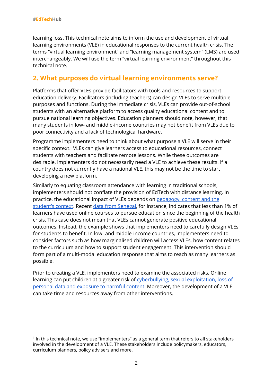learning loss. This technical note aims to inform the use and development of virtual learning environments (VLE) in educational responses to the current health crisis. The terms "virtual learning environment" and "learning management system" (LMS) are used interchangeably. We will use the term "virtual learning environment" throughout this technical note.

### **2. What purposes do virtual learning environments serve?**

Platforms that offer VLEs provide facilitators with tools and resources to support education delivery. Facilitators (including teachers) can design VLEs to serve multiple purposes and functions. During the immediate crisis, VLEs can provide out-of-school students with an alternative platform to access quality educational content and to pursue national learning objectives. Education planners should note, however, that many students in low- and middle-income countries may not benefit from VLEs due to poor connectivity and a lack of technological hardware.

Programme implementers need to think about what purpose a VLE will serve in their specific context. VLEs can give learners access to educational resources, connect 1 students with teachers and facilitate remote lessons. While these outcomes are desirable, implementers do not necessarily need a VLE to achieve these results. If a country does not currently have a national VLE, this may not be the time to start developing a new platform.

Similarly to equating classroom attendance with learning in traditional schools, implementers should not conflate the provision of EdTech with distance learning. In practice, the educational impact of VLEs depends on [pedagogy,](https://docs.edtechhub.org/lib/?all=Huang&page=3&page-len=1&sort=score) content and the [student's](https://docs.edtechhub.org/lib/?all=Huang&page=3&page-len=1&sort=score) context. Recent data from [Senegal](https://docs.edtechhub.org/lib/?all=le+nestour&page=1&page-len=1&sort=score), for instance, indicates that less than 1% of learners have used online courses to pursue education since the beginning of the health crisis. This case does not mean that VLEs cannot generate positive educational outcomes. Instead, the example shows that implementers need to carefully design VLEs for students to benefit. In low- and middle-income countries, implementers need to consider factors such as how marginalised children will access VLEs, how content relates to the curriculum and how to support student engagement. This intervention should form part of a multi-modal education response that aims to reach as many learners as possible.

Prior to creating a VLE, implementers need to examine the associated risks. Online learning can put children at a greater risk of [cyberbullying,](https://docs.edtechhub.org/lib/ZKXQGBB9) sexual exploitation, loss of personal data and [exposure](https://docs.edtechhub.org/lib/ZKXQGBB9) to harmful content. Moreover, the development of a VLE can take time and resources away from other interventions.

<sup>1</sup> In this technical note, we use "implementers" as a general term that refers to all stakeholders involved in the development of a VLE. These stakeholders include policymakers, educators, curriculum planners, policy advisers and more.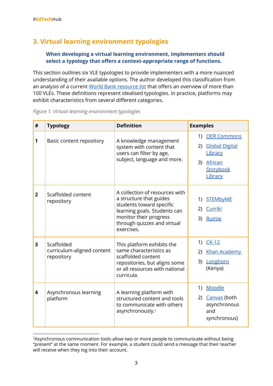# **3. Virtual learning environment typologies**

### **When developing a virtual learning environment, implementers should select a typology that offers a context-appropriate range of functions.**

This section outlines six VLE typologies to provide implementers with a more nuanced understanding of their available options. The author developed this classification from an analysis of a current World Bank [resource](https://docs.edtechhub.org/lib/?all=Remote+Learning%2C+Distance+Education+and&page=1&page-len=1&sort=score) list that offers an overview of more than 100 VLEs. These definitions represent idealised typologies. In practice, platforms may exhibit characteristics from several different categories.

|  |  |  | Figure 1. Virtual learning environment typologies |
|--|--|--|---------------------------------------------------|
|  |  |  |                                                   |
|  |  |  |                                                   |

| #                       | <b>Typology</b>                                        | <b>Definition</b>                                                                                                                                                                            | <b>Examples</b>                                                                                   |
|-------------------------|--------------------------------------------------------|----------------------------------------------------------------------------------------------------------------------------------------------------------------------------------------------|---------------------------------------------------------------------------------------------------|
| 1                       | Basic content repository                               | A knowledge management<br>system with content that<br>users can filter by age,<br>subject, language and more.                                                                                | 1) OER Commons<br><b>Global Digital</b><br>2)<br>Library<br>African<br>3)<br>Storybook<br>Library |
| $\overline{2}$          | Scaffolded content<br>repository                       | A collection of resources with<br>a structure that guides<br>students toward specific<br>learning goals. Students can<br>monitor their progress<br>through quizzes and virtual<br>exercises. | <b>STEMbyME</b><br>1)<br>Curriki<br>2)<br>Rumie<br>3)                                             |
| 3                       | Scaffolded<br>curriculum-aligned content<br>repository | This platform exhibits the<br>same characteristics as<br>scaffolded content<br>repositories, but aligns some<br>or all resources with national<br>curricula.                                 | 1) CK-12<br><b>Khan Academy</b><br>2)<br>Longhorn<br>3)<br>(Kenya)                                |
| $\overline{\mathbf{4}}$ | Asynchronous learning<br>platform                      | A learning platform with<br>structured content and tools<br>to communicate with others<br>asynchronously. <sup>2</sup>                                                                       | Moodle<br>1)<br>2) Canvas (both<br>asynchronous<br>and<br>synchronous)                            |

<sup>&</sup>lt;sup>2</sup>Asynchronous communication tools allow two or more people to communicate without being "present" at the same moment. For example, a student could send a message that their teacher will receive when they log into their account.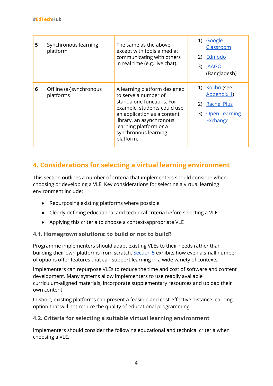| 5 | Synchronous learning<br>platform     | The same as the above<br>except with tools aimed at<br>communicating with others<br>in real time (e.g. live chat).                                                                                                                         | 1) Google<br>Classroom<br>2) Edmodo<br>3) JAAGO<br>(Bangladesh)                         |
|---|--------------------------------------|--------------------------------------------------------------------------------------------------------------------------------------------------------------------------------------------------------------------------------------------|-----------------------------------------------------------------------------------------|
| 6 | Offline (a-)synchronous<br>platforms | A learning platform designed<br>to serve a number of<br>standalone functions. For<br>example, students could use<br>an application as a content<br>library, an asynchronous<br>learning platform or a<br>synchronous learning<br>platform. | 1) Kolibri (see<br>Appendix 1)<br>2) Rachel Plus<br>3) Open Learning<br><b>Exchange</b> |

# <span id="page-4-0"></span>**4. Considerations for selecting a virtual learning environment**

This section outlines a number of criteria that implementers should consider when choosing or developing a VLE. Key considerations for selecting a virtual learning environment include:

- Repurposing existing platforms where possible
- Clearly defining educational and technical criteria before selecting a VLE
- Applying this criteria to choose a context-appropriate VLE

### **4.1. Homegrown solutions: to build or not to build?**

Programme implementers should adapt existing VLEs to their needs rather than building their own platforms from scratch. [Section](#page-7-0) 5 exhibits how even a small number of options offer features that can support learning in a wide variety of contexts.

Implementers can repurpose VLEs to reduce the time and cost of software and content development. Many systems allow implementers to use readily available curriculum-aligned materials, incorporate supplementary resources and upload their own content.

In short, existing platforms can present a feasible and cost-effective distance learning option that will not reduce the quality of educational programming.

### **4.2. Criteria for selecting a suitable virtual learning environment**

Implementers should consider the following educational and technical criteria when choosing a VLE.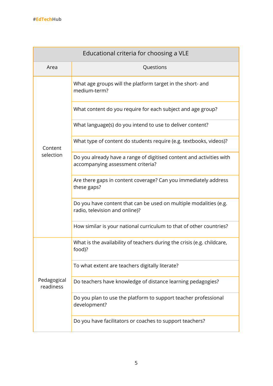| Educational criteria for choosing a VLE |                                                                                                           |  |  |  |
|-----------------------------------------|-----------------------------------------------------------------------------------------------------------|--|--|--|
| Area                                    | Questions                                                                                                 |  |  |  |
|                                         | What age groups will the platform target in the short- and<br>medium-term?                                |  |  |  |
|                                         | What content do you require for each subject and age group?                                               |  |  |  |
|                                         | What language(s) do you intend to use to deliver content?                                                 |  |  |  |
| Content                                 | What type of content do students require (e.g. textbooks, videos)?                                        |  |  |  |
| selection                               | Do you already have a range of digitised content and activities with<br>accompanying assessment criteria? |  |  |  |
|                                         | Are there gaps in content coverage? Can you immediately address<br>these gaps?                            |  |  |  |
|                                         | Do you have content that can be used on multiple modalities (e.g.<br>radio, television and online)?       |  |  |  |
|                                         | How similar is your national curriculum to that of other countries?                                       |  |  |  |
|                                         | What is the availability of teachers during the crisis (e.g. childcare,<br>food)?                         |  |  |  |
|                                         | To what extent are teachers digitally literate?                                                           |  |  |  |
| Pedagogical<br>readiness                | Do teachers have knowledge of distance learning pedagogies?                                               |  |  |  |
|                                         | Do you plan to use the platform to support teacher professional<br>development?                           |  |  |  |
|                                         | Do you have facilitators or coaches to support teachers?                                                  |  |  |  |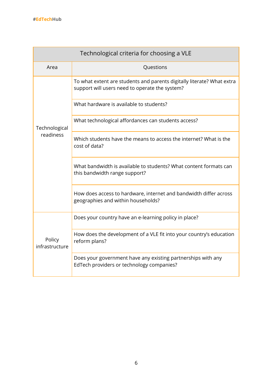| Technological criteria for choosing a VLE |                                                                                                                          |  |  |  |
|-------------------------------------------|--------------------------------------------------------------------------------------------------------------------------|--|--|--|
| Area                                      | Questions                                                                                                                |  |  |  |
|                                           | To what extent are students and parents digitally literate? What extra<br>support will users need to operate the system? |  |  |  |
|                                           | What hardware is available to students?                                                                                  |  |  |  |
| Technological                             | What technological affordances can students access?                                                                      |  |  |  |
| readiness                                 | Which students have the means to access the internet? What is the<br>cost of data?                                       |  |  |  |
|                                           | What bandwidth is available to students? What content formats can<br>this bandwidth range support?                       |  |  |  |
|                                           | How does access to hardware, internet and bandwidth differ across<br>geographies and within households?                  |  |  |  |
|                                           | Does your country have an e-learning policy in place?                                                                    |  |  |  |
| Policy<br>infrastructure                  | How does the development of a VLE fit into your country's education<br>reform plans?                                     |  |  |  |
|                                           | Does your government have any existing partnerships with any<br>EdTech providers or technology companies?                |  |  |  |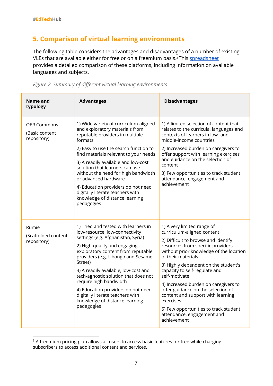### <span id="page-7-0"></span>**5. Comparison of virtual learning environments**

The following table considers the advantages and disadvantages of a number of existing VLEs that are available either for free or on a freemium basis.<sup>3</sup> This <u>[spreadsheet](https://docs.google.com/spreadsheets/d/18ruvGHxK6J06utxohQI8qLRLTEPFnpkD0svq9dBQSU8/edit#gid=951624751)</u> provides a detailed comparison of these platforms, including information on available languages and subjects.



| Name and<br>typology                                | <b>Advantages</b>                                                                                                                                                                                                                                                                                                                                                                                                                                                         | <b>Disadvantages</b>                                                                                                                                                                                                                                                                                                                                                                                                                                                                                                  |
|-----------------------------------------------------|---------------------------------------------------------------------------------------------------------------------------------------------------------------------------------------------------------------------------------------------------------------------------------------------------------------------------------------------------------------------------------------------------------------------------------------------------------------------------|-----------------------------------------------------------------------------------------------------------------------------------------------------------------------------------------------------------------------------------------------------------------------------------------------------------------------------------------------------------------------------------------------------------------------------------------------------------------------------------------------------------------------|
| <b>OER Commons</b><br>(Basic content<br>repository) | 1) Wide variety of curriculum-aligned<br>and exploratory materials from<br>reputable providers in multiple<br>formats<br>2) Easy to use the search function to<br>find materials relevant to your needs<br>3) A readily available and low-cost<br>solution that learners can use<br>without the need for high bandwidth<br>or advanced hardware<br>4) Education providers do not need<br>digitally literate teachers with<br>knowledge of distance learning<br>pedagogies | 1) A limited selection of content that<br>relates to the curricula, languages and<br>contexts of learners in low- and<br>middle-income countries<br>2) Increased burden on caregivers to<br>offer support with learning exercises<br>and guidance on the selection of<br>content<br>3) Few opportunities to track student<br>attendance, engagement and<br>achievement                                                                                                                                                |
| Rumie<br>(Scaffolded content<br>repository)         | 1) Tried and tested with learners in<br>low-resource, low-connectivity<br>settings (e.g. Afghanistan, Syria)<br>2) High-quality and engaging<br>exploratory content from reputable<br>providers (e.g. Ubongo and Sesame<br>Street)<br>3) A readily available, low-cost and<br>tech-agnostic solution that does not<br>require high bandwidth<br>4) Education providers do not need<br>digitally literate teachers with<br>knowledge of distance learning<br>pedagogies    | 1) A very limited range of<br>curriculum-aligned content<br>2) Difficult to browse and identify<br>resources from specific providers<br>without prior knowledge of the location<br>of their materials<br>3) Highly dependent on the student's<br>capacity to self-regulate and<br>self-motivate<br>4) Increased burden on caregivers to<br>offer guidance on the selection of<br>content and support with learning<br>exercises<br>5) Few opportunities to track student<br>attendance, engagement and<br>achievement |

<sup>&</sup>lt;sup>3</sup> A freemium pricing plan allows all users to access basic features for free while charging subscribers to access additional content and services.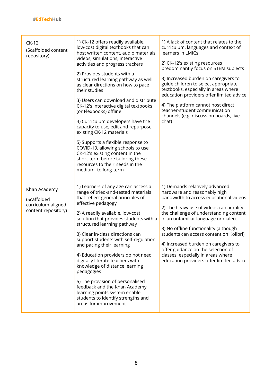| $CK-12$<br>(Scaffolded content<br>repository)                            | 1) CK-12 offers readily available,<br>low-cost digital textbooks that can<br>host written content, audio materials,<br>videos, simulations, interactive<br>activities and progress trackers<br>2) Provides students with a<br>structured learning pathway as well<br>as clear directions on how to pace<br>their studies<br>3) Users can download and distribute<br>CK-12's interactive digital textbooks<br>(or Flexbooks) offline<br>4) Curriculum developers have the<br>capacity to use, edit and repurpose<br>existing CK-12 materials<br>5) Supports a flexible response to<br>COVID-19, allowing schools to use<br>CK-12's existing content in the<br>short-term before tailoring these<br>resources to their needs in the<br>medium- to long-term | 1) A lack of content that relates to the<br>curriculum, languages and context of<br>learners in LMICs<br>2) CK-12's existing resources<br>predominantly focus on STEM subjects<br>3) Increased burden on caregivers to<br>guide children to select appropriate<br>textbooks, especially in areas where<br>education providers offer limited advice<br>4) The platform cannot host direct<br>teacher-student communication<br>channels (e.g. discussion boards, live<br>chat)             |
|--------------------------------------------------------------------------|-----------------------------------------------------------------------------------------------------------------------------------------------------------------------------------------------------------------------------------------------------------------------------------------------------------------------------------------------------------------------------------------------------------------------------------------------------------------------------------------------------------------------------------------------------------------------------------------------------------------------------------------------------------------------------------------------------------------------------------------------------------|------------------------------------------------------------------------------------------------------------------------------------------------------------------------------------------------------------------------------------------------------------------------------------------------------------------------------------------------------------------------------------------------------------------------------------------------------------------------------------------|
| Khan Academy<br>(Scaffolded<br>curriculum-aligned<br>content repository) | 1) Learners of any age can access a<br>range of tried-and-tested materials<br>that reflect general principles of<br>effective pedagogy<br>2) A readily available, low-cost<br>solution that provides students with a<br>structured learning pathway<br>3) Clear in-class directions can<br>support students with self-regulation<br>and pacing their learning<br>4) Education providers do not need<br>digitally literate teachers with<br>knowledge of distance learning<br>pedagogies<br>5) The provision of personalised<br>feedback and the Khan Academy<br>learning points system enable<br>students to identify strengths and<br>areas for improvement                                                                                              | 1) Demands relatively advanced<br>hardware and reasonably high<br>bandwidth to access educational videos<br>2) The heavy use of videos can amplify<br>the challenge of understanding content<br>in an unfamiliar language or dialect<br>3) No offline functionality (although<br>students can access content on Kolibri)<br>4) Increased burden on caregivers to<br>offer guidance on the selection of<br>classes, especially in areas where<br>education providers offer limited advice |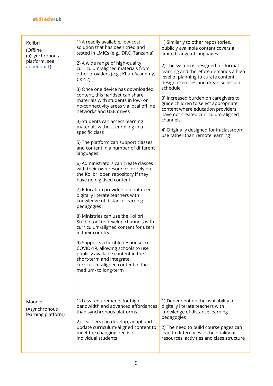#### **#EdTechHub**

| Kolibri<br>(Offline<br>(a)synchronous<br>platform, see<br>appendix 1) | 1) A readily available, low-cost<br>solution that has been tried and<br>tested in LMICs (e.g., DRC, Tanzania)<br>2) A wide range of high-quality<br>curriculum-aligned materials from<br>other providers (e.g., Khan Academy,<br>$CK-12$<br>3) Once one device has downloaded<br>content, this handset can share<br>materials with students in low- or<br>no-connectivity areas via local offline<br>networks and USB drives<br>4) Students can access learning<br>materials without enrolling in a<br>specific class<br>5) The platform can support classes<br>and content in a number of different<br>languages<br>6) Administrators can create classes<br>with their own resources or rely on<br>the Kolibri open repository if they<br>have no digitised content<br>7) Education providers do not need<br>digitally literate teachers with<br>knowledge of distance learning<br>pedagogies<br>8) Ministries can use the Kolibri<br>Studio tool to develop channels with<br>curriculum-aligned content for users<br>in their country<br>9) Supports a flexible response to<br>COVID-19, allowing schools to use<br>publicly available content in the<br>short-term and integrate<br>curriculum-aligned content in the<br>medium- to long-term | 1) Similarly to other repositories,<br>publicly available content covers a<br>limited range of languages<br>2) The system is designed for formal<br>learning and therefore demands a high<br>level of planning to curate content,<br>design exercises and organise lesson<br>schedule<br>3) Increased burden on caregivers to<br>guide children to select appropriate<br>content where education providers<br>have not created curriculum-aligned<br>channels<br>4) Originally designed for in-classroom<br>use rather than remote learning |
|-----------------------------------------------------------------------|--------------------------------------------------------------------------------------------------------------------------------------------------------------------------------------------------------------------------------------------------------------------------------------------------------------------------------------------------------------------------------------------------------------------------------------------------------------------------------------------------------------------------------------------------------------------------------------------------------------------------------------------------------------------------------------------------------------------------------------------------------------------------------------------------------------------------------------------------------------------------------------------------------------------------------------------------------------------------------------------------------------------------------------------------------------------------------------------------------------------------------------------------------------------------------------------------------------------------------------------------|---------------------------------------------------------------------------------------------------------------------------------------------------------------------------------------------------------------------------------------------------------------------------------------------------------------------------------------------------------------------------------------------------------------------------------------------------------------------------------------------------------------------------------------------|
| Moodle<br>(Asynchronous<br>learning platform)                         | 1) Less requirements for high<br>bandwidth and advanced affordances<br>than synchronous platforms<br>2) Teachers can develop, adapt and<br>update curriculum-aligned content to<br>meet the changing needs of<br>individual students                                                                                                                                                                                                                                                                                                                                                                                                                                                                                                                                                                                                                                                                                                                                                                                                                                                                                                                                                                                                             | 1) Dependent on the availability of<br>digitally literate teachers with<br>knowledge of distance learning<br>pedagogies<br>2) The need to build course pages can<br>lead to differences in the quality of<br>resources, activities and class structure                                                                                                                                                                                                                                                                                      |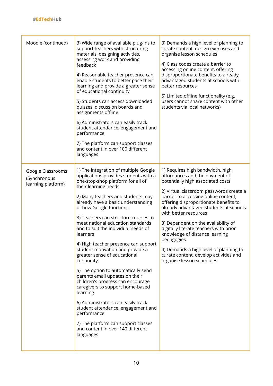| Moodle (continued)                                      | 3) Wide range of available plug-ins to<br>support teachers with structuring<br>materials, designing activities,<br>assessing work and providing<br>feedback<br>4) Reasonable teacher presence can<br>enable students to better pace their<br>learning and provide a greater sense<br>of educational continuity<br>5) Students can access downloaded<br>quizzes, discussion boards and<br>assignments offline<br>6) Administrators can easily track<br>student attendance, engagement and<br>performance<br>7) The platform can support classes<br>and content in over 100 different<br>languages                                                                                                                                                                                                                                                              | 3) Demands a high level of planning to<br>curate content, design exercises and<br>organise lesson schedules<br>4) Class codes create a barrier to<br>accessing online content, offering<br>disproportionate benefits to already<br>advantaged students at schools with<br>better resources<br>5) Limited offline functionality (e.g.<br>users cannot share content with other<br>students via local networks)                                                                                                                                            |
|---------------------------------------------------------|---------------------------------------------------------------------------------------------------------------------------------------------------------------------------------------------------------------------------------------------------------------------------------------------------------------------------------------------------------------------------------------------------------------------------------------------------------------------------------------------------------------------------------------------------------------------------------------------------------------------------------------------------------------------------------------------------------------------------------------------------------------------------------------------------------------------------------------------------------------|----------------------------------------------------------------------------------------------------------------------------------------------------------------------------------------------------------------------------------------------------------------------------------------------------------------------------------------------------------------------------------------------------------------------------------------------------------------------------------------------------------------------------------------------------------|
| Google Classrooms<br>(Synchronous<br>learning platform) | 1) The integration of multiple Google<br>applications provides students with a<br>one-stop-shop platform for all of<br>their learning needs<br>2) Many teachers and students may<br>already have a basic understanding<br>of how Google functions<br>3) Teachers can structure courses to<br>meet national education standards<br>and to suit the individual needs of<br>learners<br>4) High teacher presence can support<br>student motivation and provide a<br>greater sense of educational<br>continuity<br>5) The option to automatically send<br>parents email updates on their<br>children's progress can encourage<br>caregivers to support home-based<br>learning<br>6) Administrators can easily track<br>student attendance, engagement and<br>performance<br>7) The platform can support classes<br>and content in over 140 different<br>languages | 1) Requires high bandwidth, high<br>affordances and the payment of<br>potentially high associated costs<br>2) Virtual classroom passwords create a<br>barrier to accessing online content,<br>offering disproportionate benefits to<br>already advantaged students at schools<br>with better resources<br>3) Dependent on the availability of<br>digitally literate teachers with prior<br>knowledge of distance learning<br>pedagogies<br>4) Demands a high level of planning to<br>curate content, develop activities and<br>organise lesson schedules |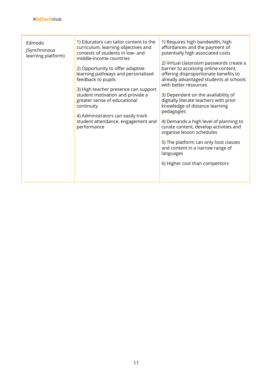| Edmodo<br>(Synchronous<br>learning platform) | 1) Educators can tailor content to the<br>curriculum, learning objectives and<br>contexts of students in low- and<br>middle-income countries<br>2) Opportunity to offer adaptive<br>learning pathways and personalised<br>feedback to pupils<br>3) High teacher presence can support<br>student motivation and provide a<br>greater sense of educational<br>continuity<br>4) Administrators can easily track<br>student attendance, engagement and<br>performance | 1) Requires high bandwidth, high<br>affordances and the payment of<br>potentially high associated costs<br>2) Virtual classroom passwords create a<br>barrier to accessing online content,<br>offering disproportionate benefits to<br>already advantaged students at schools<br>with better resources<br>3) Dependent on the availability of<br>digitally literate teachers with prior<br>knowledge of distance learning<br>pedagogies<br>4) Demands a high level of planning to<br>curate content, develop activities and<br>organise lesson schedules<br>5) The platform can only host classes<br>and content in a narrow range of<br>languages<br>6) Higher cost than competitors |
|----------------------------------------------|-------------------------------------------------------------------------------------------------------------------------------------------------------------------------------------------------------------------------------------------------------------------------------------------------------------------------------------------------------------------------------------------------------------------------------------------------------------------|---------------------------------------------------------------------------------------------------------------------------------------------------------------------------------------------------------------------------------------------------------------------------------------------------------------------------------------------------------------------------------------------------------------------------------------------------------------------------------------------------------------------------------------------------------------------------------------------------------------------------------------------------------------------------------------|
|----------------------------------------------|-------------------------------------------------------------------------------------------------------------------------------------------------------------------------------------------------------------------------------------------------------------------------------------------------------------------------------------------------------------------------------------------------------------------------------------------------------------------|---------------------------------------------------------------------------------------------------------------------------------------------------------------------------------------------------------------------------------------------------------------------------------------------------------------------------------------------------------------------------------------------------------------------------------------------------------------------------------------------------------------------------------------------------------------------------------------------------------------------------------------------------------------------------------------|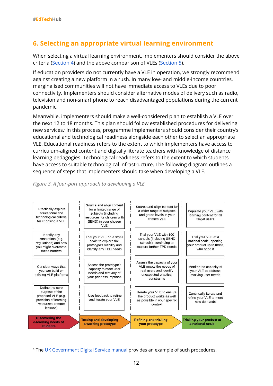# **6. Selecting an appropriate virtual learning environment**

When selecting a virtual learning environment, implementers should consider the above criteria [\(Section](#page-4-0) 4) and the above comparison of VLEs ([Section](#page-7-0) 5).

If education providers do not currently have a VLE in operation, we strongly recommend against creating a new platform in a rush. In many low- and middle-income countries, marginalised communities will not have immediate access to VLEs due to poor connectivity. Implementers should consider alternative modes of delivery such as radio, television and non-smart phone to reach disadvantaged populations during the current pandemic.

Meanwhile, implementers should make a well-considered plan to establish a VLE over the next 12 to 18 months. This plan should follow established procedures for delivering new services.<sup>4</sup> In this process, programme implementers should consider their country's educational and technological readiness alongside each other to select an appropriate VLE. Educational readiness refers to the extent to which implementers have access to curriculum-aligned content and digitally literate teachers with knowledge of distance learning pedagogies. Technological readiness refers to the extent to which students have access to suitable technological infrastructure. The following diagram outlines a sequence of steps that implementers should take when developing a VLE.



#### *Figure 3. A four-part approach to developing a VLE*

<sup>4</sup> The UK [Government](https://www.gov.uk/service-manual) Digital Service manual provides an example of such procedures.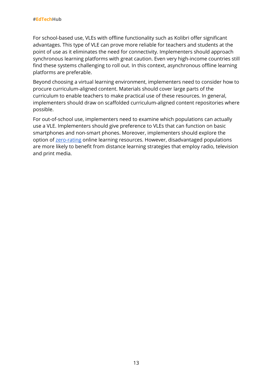For school-based use, VLEs with offline functionality such as Kolibri offer significant advantages. This type of VLE can prove more reliable for teachers and students at the point of use as it eliminates the need for connectivity. Implementers should approach synchronous learning platforms with great caution. Even very high-income countries still find these systems challenging to roll out. In this context, asynchronous offline learning platforms are preferable.

Beyond choosing a virtual learning environment, implementers need to consider how to procure curriculum-aligned content. Materials should cover large parts of the curriculum to enable teachers to make practical use of these resources. In general, implementers should draw on scaffolded curriculum-aligned content repositories where possible.

For out-of-school use, implementers need to examine which populations can actually use a VLE. Implementers should give preference to VLEs that can function on basic smartphones and non-smart phones. Moreover, implementers should explore the option of [zero-rating](https://docs.edtechhub.org/lib/F4PCMTZB) online learning resources. However, disadvantaged populations are more likely to benefit from distance learning strategies that employ radio, television and print media.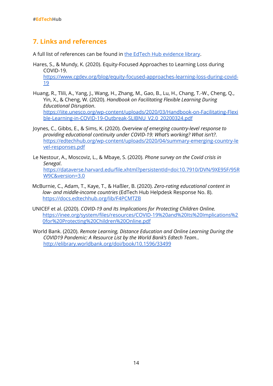### **7. Links and references**

A full list of references can be found in the EdTech Hub [evidence](https://docs.edtechhub.org/lib/?ref=2RQEC8D9&sort=author_asc) library.

- Hares, S., & Mundy, K. (2020). Equity-Focused Approaches to Learning Loss during COVID-19. [https://www.cgdev.org/blog/equity-focused-approaches-learning-loss-during-covid-](https://www.cgdev.org/blog/equity-focused-approaches-learning-loss-during-covid-19)[19](https://www.cgdev.org/blog/equity-focused-approaches-learning-loss-during-covid-19)
- Huang, R., Tlili, A., Yang, J., Wang, H., Zhang, M., Gao, B., Lu, H., Chang, T.-W., Cheng, Q., Yin, X., & Cheng, W. (2020). *Handbook on Facilitating Flexible Learning During Educational Disruption*. [https://iite.unesco.org/wp-content/uploads/2020/03/Handbook-on-Facilitating-Flexi](https://iite.unesco.org/wp-content/uploads/2020/03/Handbook-on-Facilitating-Flexible-Learning-in-COVID-19-Outbreak-SLIBNU_V2.0_20200324.pdf) [ble-Learning-in-COVID-19-Outbreak-SLIBNU\\_V2.0\\_20200324.pdf](https://iite.unesco.org/wp-content/uploads/2020/03/Handbook-on-Facilitating-Flexible-Learning-in-COVID-19-Outbreak-SLIBNU_V2.0_20200324.pdf)
- Joynes, C., Gibbs, E., & Sims, K. (2020). *Overview of emerging country-level response to providing educational continuity under COVID-19: What's working? What isn't?*. [https://edtechhub.org/wp-content/uploads/2020/04/summary-emerging-country-le](https://edtechhub.org/wp-content/uploads/2020/04/summary-emerging-country-level-responses.pdf) [vel-responses.pdf](https://edtechhub.org/wp-content/uploads/2020/04/summary-emerging-country-level-responses.pdf)
- Le Nestour, A., Moscoviz, L., & Mbaye, S. (2020). *Phone survey on the Covid crisis in Senegal*. [https://dataverse.harvard.edu/file.xhtml?persistentId=doi:10.7910/DVN/9XE95F/95R](https://dataverse.harvard.edu/file.xhtml?persistentId=doi:10.7910/DVN/9XE95F/95RW9C&version=3.0) [W9C&version=3.0](https://dataverse.harvard.edu/file.xhtml?persistentId=doi:10.7910/DVN/9XE95F/95RW9C&version=3.0)
- McBurnie, C., Adam, T., Kaye, T., & Haßler, B. (2020). *Zero-rating educational content in low- and middle-income countries* (EdTech Hub Helpdesk Response No. 8). <https://docs.edtechhub.org/lib/F4PCMTZB>
- UNICEF et al. (2020). *COVID-19 and Its Implications for Protecting Children Online.* [https://inee.org/system/files/resources/COVID-19%20and%20Its%20Implications%2](https://inee.org/system/files/resources/COVID-19%20and%20Its%20Implications%20for%20Protecting%20Children%20Online.pdf) [0for%20Protecting%20Children%20Online.pdf](https://inee.org/system/files/resources/COVID-19%20and%20Its%20Implications%20for%20Protecting%20Children%20Online.pdf)
- World Bank. (2020). *Remote Learning, Distance Education and Online Lear[n](http://elibrary.worldbank.org/doi/book/10.1596/33499)ing During the COVID19 Pandemic: A Resource List by the World Bank's Edtech Team*.. <http://elibrary.worldbank.org/doi/book/10.1596/33499>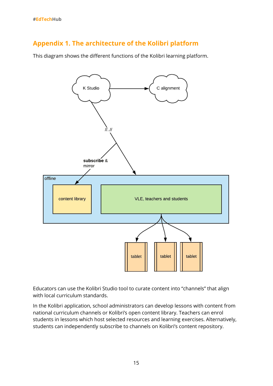# <span id="page-15-0"></span>**Appendix 1. The architecture of the Kolibri platform**

This diagram shows the different functions of the Kolibri learning platform.



Educators can use the Kolibri Studio tool to curate content into "channels" that align with local curriculum standards.

In the Kolibri application, school administrators can develop lessons with content from national curriculum channels or Kolibri's open content library. Teachers can enrol students in lessons which host selected resources and learning exercises. Alternatively, students can independently subscribe to channels on Kolibri's content repository.